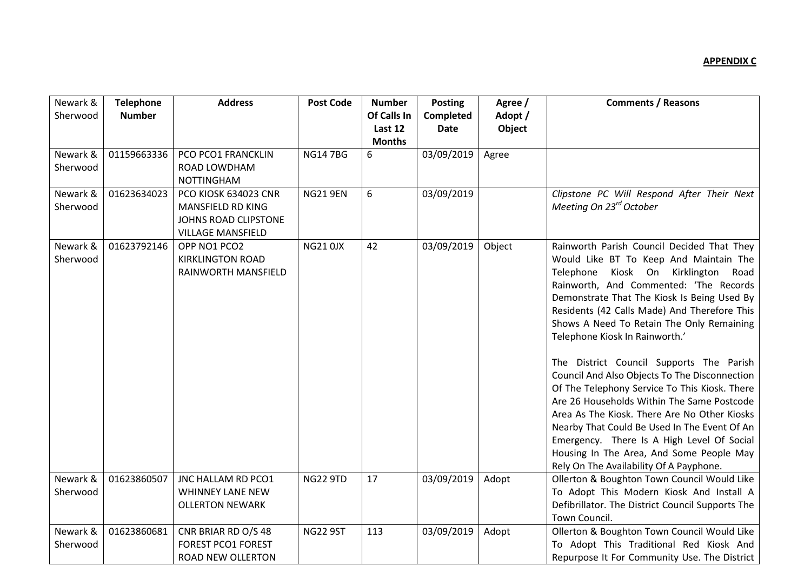| Newark &<br>Sherwood | <b>Telephone</b><br><b>Number</b> | <b>Address</b>                                                                                | <b>Post Code</b> | <b>Number</b><br>Of Calls In<br>Last 12<br><b>Months</b> | <b>Posting</b><br>Completed<br><b>Date</b> | Agree /<br>Adopt /<br>Object | <b>Comments / Reasons</b>                                                                                                                                                                                                                                                                                                                                                                                                                                                                                                                                                                                                                                                                                                                                                               |
|----------------------|-----------------------------------|-----------------------------------------------------------------------------------------------|------------------|----------------------------------------------------------|--------------------------------------------|------------------------------|-----------------------------------------------------------------------------------------------------------------------------------------------------------------------------------------------------------------------------------------------------------------------------------------------------------------------------------------------------------------------------------------------------------------------------------------------------------------------------------------------------------------------------------------------------------------------------------------------------------------------------------------------------------------------------------------------------------------------------------------------------------------------------------------|
| Newark &<br>Sherwood | 01159663336                       | PCO PCO1 FRANCKLIN<br>ROAD LOWDHAM<br><b>NOTTINGHAM</b>                                       | <b>NG147BG</b>   | 6                                                        | 03/09/2019                                 | Agree                        |                                                                                                                                                                                                                                                                                                                                                                                                                                                                                                                                                                                                                                                                                                                                                                                         |
| Newark &<br>Sherwood | 01623634023                       | PCO KIOSK 634023 CNR<br>MANSFIELD RD KING<br>JOHNS ROAD CLIPSTONE<br><b>VILLAGE MANSFIELD</b> | <b>NG21 9EN</b>  | 6                                                        | 03/09/2019                                 |                              | Clipstone PC Will Respond After Their Next<br>Meeting On 23 <sup>rd</sup> October                                                                                                                                                                                                                                                                                                                                                                                                                                                                                                                                                                                                                                                                                                       |
| Newark &<br>Sherwood | 01623792146                       | OPP NO1 PCO2<br><b>KIRKLINGTON ROAD</b><br>RAINWORTH MANSFIELD                                | <b>NG21 0JX</b>  | 42                                                       | 03/09/2019                                 | Object                       | Rainworth Parish Council Decided That They<br>Would Like BT To Keep And Maintain The<br>Telephone Kiosk On Kirklington<br>Road<br>Rainworth, And Commented: 'The Records<br>Demonstrate That The Kiosk Is Being Used By<br>Residents (42 Calls Made) And Therefore This<br>Shows A Need To Retain The Only Remaining<br>Telephone Kiosk In Rainworth.'<br>The District Council Supports The Parish<br>Council And Also Objects To The Disconnection<br>Of The Telephony Service To This Kiosk. There<br>Are 26 Households Within The Same Postcode<br>Area As The Kiosk. There Are No Other Kiosks<br>Nearby That Could Be Used In The Event Of An<br>Emergency. There Is A High Level Of Social<br>Housing In The Area, And Some People May<br>Rely On The Availability Of A Payphone. |
| Newark &<br>Sherwood | 01623860507                       | JNC HALLAM RD PCO1<br>WHINNEY LANE NEW<br><b>OLLERTON NEWARK</b>                              | <b>NG22 9TD</b>  | 17                                                       | 03/09/2019                                 | Adopt                        | Ollerton & Boughton Town Council Would Like<br>To Adopt This Modern Kiosk And Install A<br>Defibrillator. The District Council Supports The<br>Town Council.                                                                                                                                                                                                                                                                                                                                                                                                                                                                                                                                                                                                                            |
| Newark &<br>Sherwood | 01623860681                       | CNR BRIAR RD O/S 48<br><b>FOREST PCO1 FOREST</b><br><b>ROAD NEW OLLERTON</b>                  | <b>NG22 9ST</b>  | 113                                                      | 03/09/2019                                 | Adopt                        | Ollerton & Boughton Town Council Would Like<br>To Adopt This Traditional Red Kiosk And<br>Repurpose It For Community Use. The District                                                                                                                                                                                                                                                                                                                                                                                                                                                                                                                                                                                                                                                  |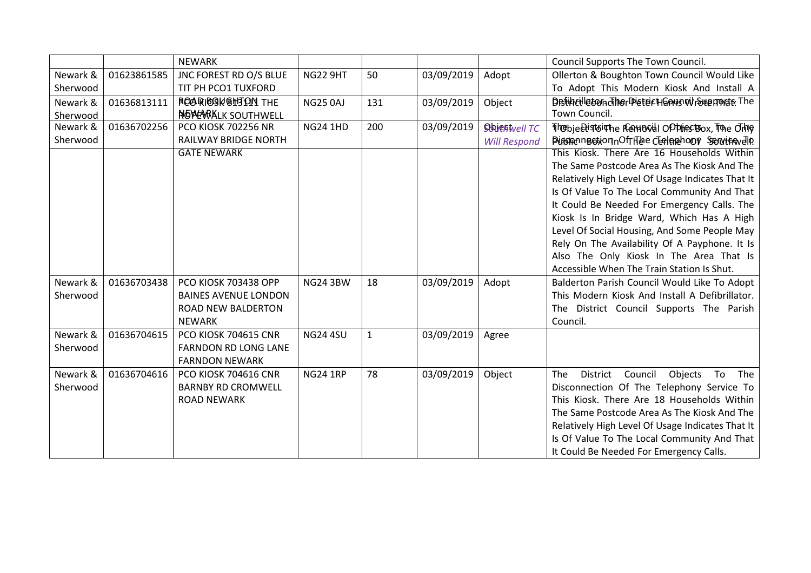|          |             | <b>NEWARK</b>               |                 |              |            |                     | Council Supports The Town Council.                        |
|----------|-------------|-----------------------------|-----------------|--------------|------------|---------------------|-----------------------------------------------------------|
| Newark & | 01623861585 | JNC FOREST RD O/S BLUE      | <b>NG22 9HT</b> | 50           | 03/09/2019 | Adopt               | Ollerton & Boughton Town Council Would Like               |
| Sherwood |             | TIT PH PCO1 TUXFORD         |                 |              |            |                     | To Adopt This Modern Kiosk And Install A                  |
| Newark & | 01636813111 | <b>ROARIBON GHTON THE</b>   | <b>NG25 0AJ</b> | 131          | 03/09/2019 | Object              | Defineiletemdiner Dieter Hanns wroundte The               |
| Sherwood |             | NOW ARKLK SOUTHWELL         |                 |              |            |                     | Town Council.                                             |
| Newark & | 01636702256 | <b>PCO KIOSK 702256 NR</b>  | <b>NG24 1HD</b> | 200          | 03/09/2019 | Sbjehwell TC        | The bje Bistointhe Remorial Optimes Box, The Only         |
| Sherwood |             | <b>RAILWAY BRIDGE NORTH</b> |                 |              |            | <b>Will Respond</b> | PidstonnBotionnOfrFiee CEeterehoof Servicevello           |
|          |             | <b>GATE NEWARK</b>          |                 |              |            |                     | This Kiosk. There Are 16 Households Within                |
|          |             |                             |                 |              |            |                     | The Same Postcode Area As The Kiosk And The               |
|          |             |                             |                 |              |            |                     | Relatively High Level Of Usage Indicates That It          |
|          |             |                             |                 |              |            |                     | Is Of Value To The Local Community And That               |
|          |             |                             |                 |              |            |                     | It Could Be Needed For Emergency Calls. The               |
|          |             |                             |                 |              |            |                     | Kiosk Is In Bridge Ward, Which Has A High                 |
|          |             |                             |                 |              |            |                     | Level Of Social Housing, And Some People May              |
|          |             |                             |                 |              |            |                     | Rely On The Availability Of A Payphone. It Is             |
|          |             |                             |                 |              |            |                     | Also The Only Kiosk In The Area That Is                   |
|          |             |                             |                 |              |            |                     | Accessible When The Train Station Is Shut.                |
| Newark & | 01636703438 | PCO KIOSK 703438 OPP        | <b>NG24 3BW</b> | 18           | 03/09/2019 | Adopt               | Balderton Parish Council Would Like To Adopt              |
| Sherwood |             | <b>BAINES AVENUE LONDON</b> |                 |              |            |                     | This Modern Kiosk And Install A Defibrillator.            |
|          |             | ROAD NEW BALDERTON          |                 |              |            |                     | The District Council Supports The Parish                  |
|          |             | <b>NEWARK</b>               |                 |              |            |                     | Council.                                                  |
| Newark & | 01636704615 | PCO KIOSK 704615 CNR        | <b>NG24 4SU</b> | $\mathbf{1}$ | 03/09/2019 | Agree               |                                                           |
| Sherwood |             | <b>FARNDON RD LONG LANE</b> |                 |              |            |                     |                                                           |
|          |             | <b>FARNDON NEWARK</b>       |                 |              |            |                     |                                                           |
| Newark & | 01636704616 | PCO KIOSK 704616 CNR        | <b>NG24 1RP</b> | 78           | 03/09/2019 | Object              | District<br>Council<br>Objects<br>To<br><b>The</b><br>The |
| Sherwood |             | <b>BARNBY RD CROMWELL</b>   |                 |              |            |                     | Disconnection Of The Telephony Service To                 |
|          |             | <b>ROAD NEWARK</b>          |                 |              |            |                     | This Kiosk. There Are 18 Households Within                |
|          |             |                             |                 |              |            |                     | The Same Postcode Area As The Kiosk And The               |
|          |             |                             |                 |              |            |                     | Relatively High Level Of Usage Indicates That It          |
|          |             |                             |                 |              |            |                     | Is Of Value To The Local Community And That               |
|          |             |                             |                 |              |            |                     | It Could Be Needed For Emergency Calls.                   |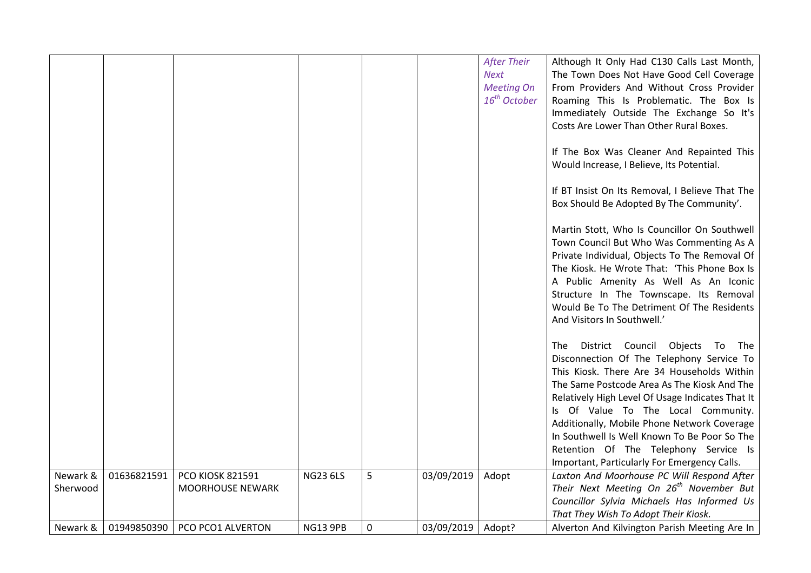|          |             |                         |                 |             |            | <b>After Their</b> | Although It Only Had C130 Calls Last Month,         |
|----------|-------------|-------------------------|-----------------|-------------|------------|--------------------|-----------------------------------------------------|
|          |             |                         |                 |             |            | <b>Next</b>        | The Town Does Not Have Good Cell Coverage           |
|          |             |                         |                 |             |            | <b>Meeting On</b>  | From Providers And Without Cross Provider           |
|          |             |                         |                 |             |            | $16^{th}$ October  | Roaming This Is Problematic. The Box Is             |
|          |             |                         |                 |             |            |                    | Immediately Outside The Exchange So It's            |
|          |             |                         |                 |             |            |                    | Costs Are Lower Than Other Rural Boxes.             |
|          |             |                         |                 |             |            |                    |                                                     |
|          |             |                         |                 |             |            |                    |                                                     |
|          |             |                         |                 |             |            |                    | If The Box Was Cleaner And Repainted This           |
|          |             |                         |                 |             |            |                    | Would Increase, I Believe, Its Potential.           |
|          |             |                         |                 |             |            |                    | If BT Insist On Its Removal, I Believe That The     |
|          |             |                         |                 |             |            |                    |                                                     |
|          |             |                         |                 |             |            |                    | Box Should Be Adopted By The Community'.            |
|          |             |                         |                 |             |            |                    | Martin Stott, Who Is Councillor On Southwell        |
|          |             |                         |                 |             |            |                    | Town Council But Who Was Commenting As A            |
|          |             |                         |                 |             |            |                    |                                                     |
|          |             |                         |                 |             |            |                    | Private Individual, Objects To The Removal Of       |
|          |             |                         |                 |             |            |                    | The Kiosk. He Wrote That: 'This Phone Box Is        |
|          |             |                         |                 |             |            |                    | A Public Amenity As Well As An Iconic               |
|          |             |                         |                 |             |            |                    | Structure In The Townscape. Its Removal             |
|          |             |                         |                 |             |            |                    | Would Be To The Detriment Of The Residents          |
|          |             |                         |                 |             |            |                    | And Visitors In Southwell.'                         |
|          |             |                         |                 |             |            |                    |                                                     |
|          |             |                         |                 |             |            |                    | District Council Objects To The<br>The              |
|          |             |                         |                 |             |            |                    | Disconnection Of The Telephony Service To           |
|          |             |                         |                 |             |            |                    | This Kiosk. There Are 34 Households Within          |
|          |             |                         |                 |             |            |                    | The Same Postcode Area As The Kiosk And The         |
|          |             |                         |                 |             |            |                    | Relatively High Level Of Usage Indicates That It    |
|          |             |                         |                 |             |            |                    | Is Of Value To The Local Community.                 |
|          |             |                         |                 |             |            |                    | Additionally, Mobile Phone Network Coverage         |
|          |             |                         |                 |             |            |                    | In Southwell Is Well Known To Be Poor So The        |
|          |             |                         |                 |             |            |                    | Retention Of The Telephony Service Is               |
|          |             |                         |                 |             |            |                    | Important, Particularly For Emergency Calls.        |
| Newark & | 01636821591 | <b>PCO KIOSK 821591</b> | <b>NG23 6LS</b> | 5           | 03/09/2019 | Adopt              | Laxton And Moorhouse PC Will Respond After          |
| Sherwood |             | <b>MOORHOUSE NEWARK</b> |                 |             |            |                    | Their Next Meeting On 26 <sup>th</sup> November But |
|          |             |                         |                 |             |            |                    | Councillor Sylvia Michaels Has Informed Us          |
|          |             |                         |                 |             |            |                    | That They Wish To Adopt Their Kiosk.                |
| Newark & | 01949850390 | PCO PCO1 ALVERTON       | <b>NG13 9PB</b> | $\mathbf 0$ | 03/09/2019 | Adopt?             | Alverton And Kilvington Parish Meeting Are In       |